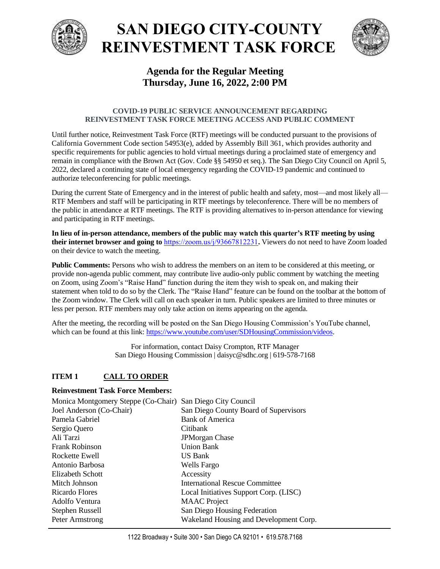

# **SAN DIEGO CITY-COUNTY REINVESTMENT TASK FORCE**



## **Agenda for the Regular Meeting Thursday, June 16, 2022, 2:00 PM**

#### **COVID-19 PUBLIC SERVICE ANNOUNCEMENT REGARDING REINVESTMENT TASK FORCE MEETING ACCESS AND PUBLIC COMMENT**

Until further notice, Reinvestment Task Force (RTF) meetings will be conducted pursuant to the provisions of California Government Code section 54953(e), added by Assembly Bill 361, which provides authority and specific requirements for public agencies to hold virtual meetings during a proclaimed state of emergency and remain in compliance with the Brown Act (Gov. Code §§ 54950 et seq.). The San Diego City Council on April 5, 2022, declared a continuing state of local emergency regarding the COVID-19 pandemic and continued to authorize teleconferencing for public meetings.

During the current State of Emergency and in the interest of public health and safety, most—and most likely all— RTF Members and staff will be participating in RTF meetings by teleconference. There will be no members of the public in attendance at RTF meetings. The RTF is providing alternatives to in-person attendance for viewing and participating in RTF meetings.

**In lieu of in-person attendance, members of the public may watch this quarter's RTF meeting by using their internet browser and going to** <https://zoom.us/j/93667812231>**.** Viewers do not need to have Zoom loaded on their device to watch the meeting.

**Public Comments:** Persons who wish to address the members on an item to be considered at this meeting, or provide non-agenda public comment, may contribute live audio-only public comment by watching the meeting on Zoom, using Zoom's "Raise Hand" function during the item they wish to speak on, and making their statement when told to do so by the Clerk. The "Raise Hand" feature can be found on the toolbar at the bottom of the Zoom window. The Clerk will call on each speaker in turn. Public speakers are limited to three minutes or less per person. RTF members may only take action on items appearing on the agenda.

After the meeting, the recording will be posted on the San Diego Housing Commission's YouTube channel, which can be found at this link[: https://www.youtube.com/user/SDHousingCommission/videos.](https://www.youtube.com/user/SDHousingCommission/videos)

> For information, contact Daisy Crompton, RTF Manager San Diego Housing Commission | daisyc@sdhc.org | 619-578-7168

## **ITEM 1 CALL TO ORDER**

#### **Reinvestment Task Force Members:**

| Monica Montgomery Steppe (Co-Chair) San Diego City Council |                                        |
|------------------------------------------------------------|----------------------------------------|
| Joel Anderson (Co-Chair)                                   | San Diego County Board of Supervisors  |
| Pamela Gabriel                                             | <b>Bank of America</b>                 |
| Sergio Quero                                               | Citibank                               |
| Ali Tarzi                                                  | <b>JPMorgan Chase</b>                  |
| <b>Frank Robinson</b>                                      | <b>Union Bank</b>                      |
| Rockette Ewell                                             | <b>US Bank</b>                         |
| Antonio Barbosa                                            | Wells Fargo                            |
| Elizabeth Schott                                           | Accessity                              |
| Mitch Johnson                                              | <b>International Rescue Committee</b>  |
| Ricardo Flores                                             | Local Initiatives Support Corp. (LISC) |
| Adolfo Ventura                                             | <b>MAAC</b> Project                    |
| Stephen Russell                                            | San Diego Housing Federation           |
| Peter Armstrong                                            | Wakeland Housing and Development Corp. |